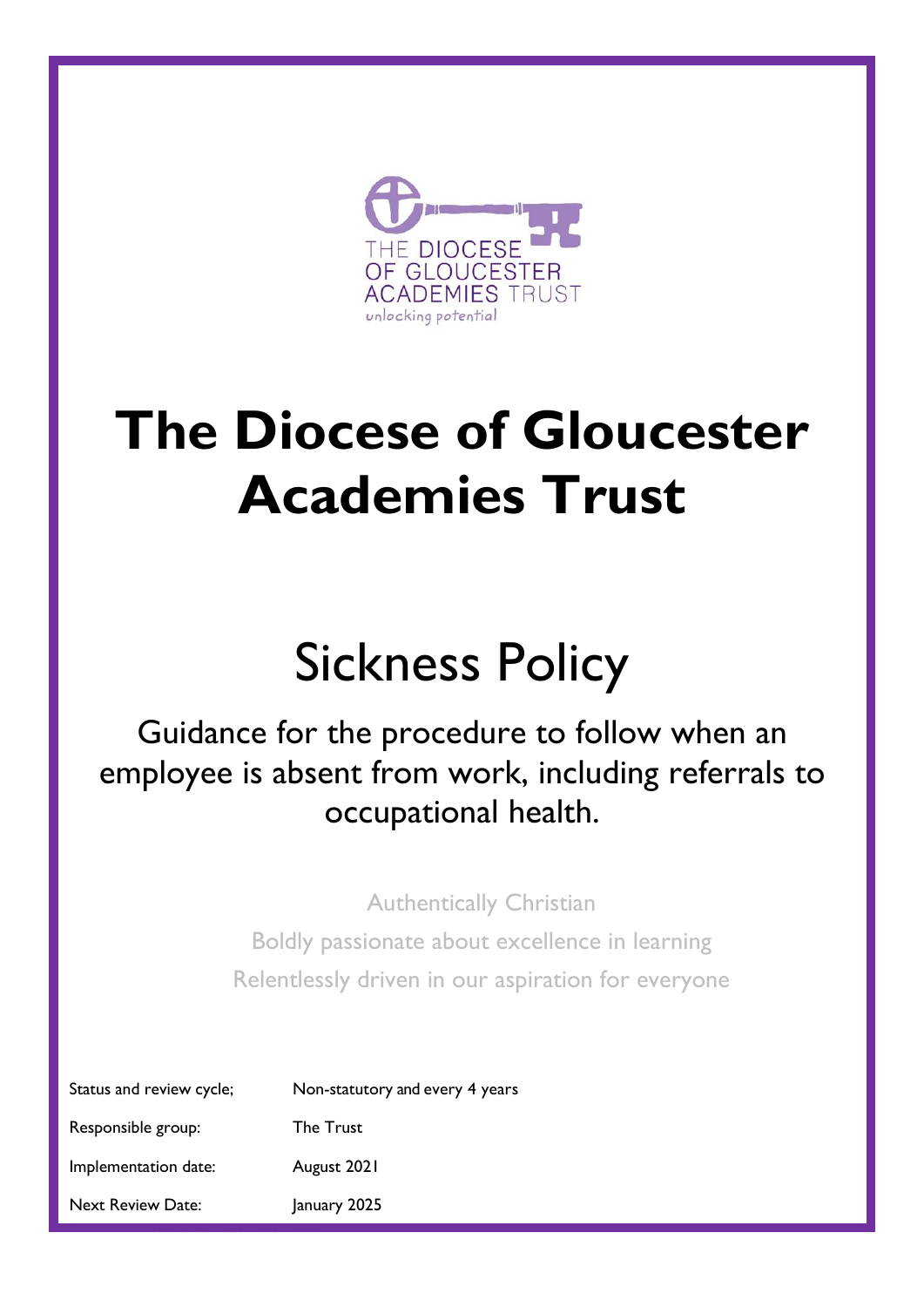

# **The Diocese of Gloucester Academies Trust**

# Sickness Policy

# Guidance for the procedure to follow when an employee is absent from work, including referrals to occupational health.

Authentically Christian

Boldly passionate about excellence in learning Relentlessly driven in our aspiration for everyone

| Status and review cycle; | Non-statutory and every 4 years |
|--------------------------|---------------------------------|
| Responsible group:       | <b>The Trust</b>                |
| Implementation date:     | August 2021                     |
| <b>Next Review Date:</b> | January 2025                    |

Next review date: March 2018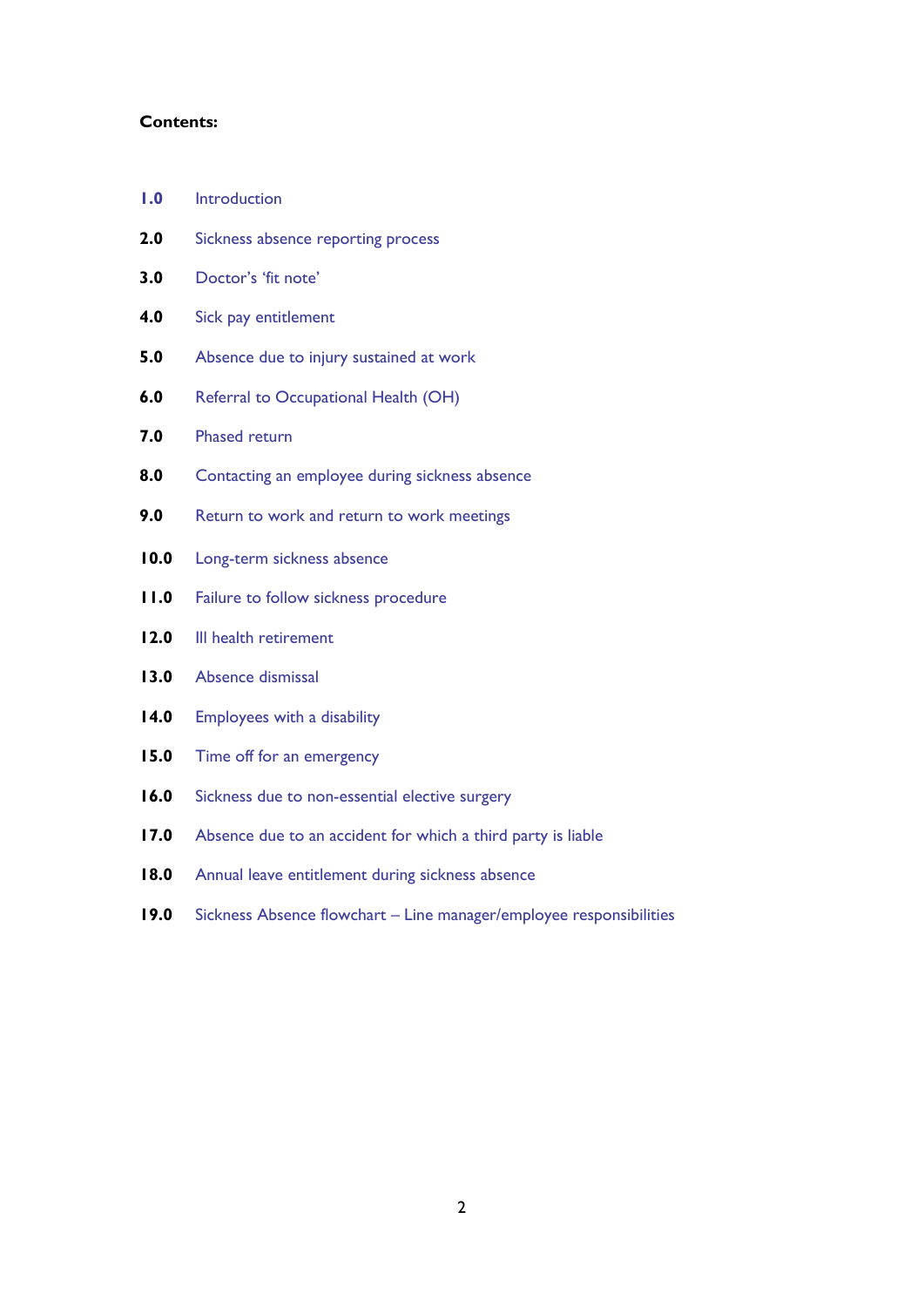#### **Contents:**

- **1.0** [Introduction](#page-2-0)
- **2.0** [Sickness absence reporting process](#page-2-1)
- **3.0** [Doctor's '](#page-2-2)fit note'
- **4.0** [Sick pay entitlement](#page-3-0)
- **5.0** [Absence due to injury sustained at work](#page-4-0)
- **6.0** [Referral to Occupational Health \(OH\)](#page-4-1)
- **7.0** [Phased return](#page-4-2)
- **8.0** [Contacting an employee during sickness absence](#page-5-0)
- **9.0** [Return to work and return to work meetings](#page-5-1)
- **10.0** [Long-term sickness absence](#page-6-0)
- **11.0** [Failure to follow sickness procedure](#page-6-1)
- **12.0** III health retirement
- **13.0** [Absence dismissal](#page-6-3)
- **14.0** [Employees with a disability](#page-6-4)
- **15.0** [Time off for an emergency](#page-7-0)
- **16.0** [Sickness due to non-essential](#page-7-1) elective surgery
- **17.0** [Absence due to an accident for which a third party](#page-7-2) is liable
- **18.0** [Annual leave entitlement during sickness absence](#page-7-3)
- **19.0** Sickness Absence flowchart [Line manager/employee responsibilities](#page-7-4)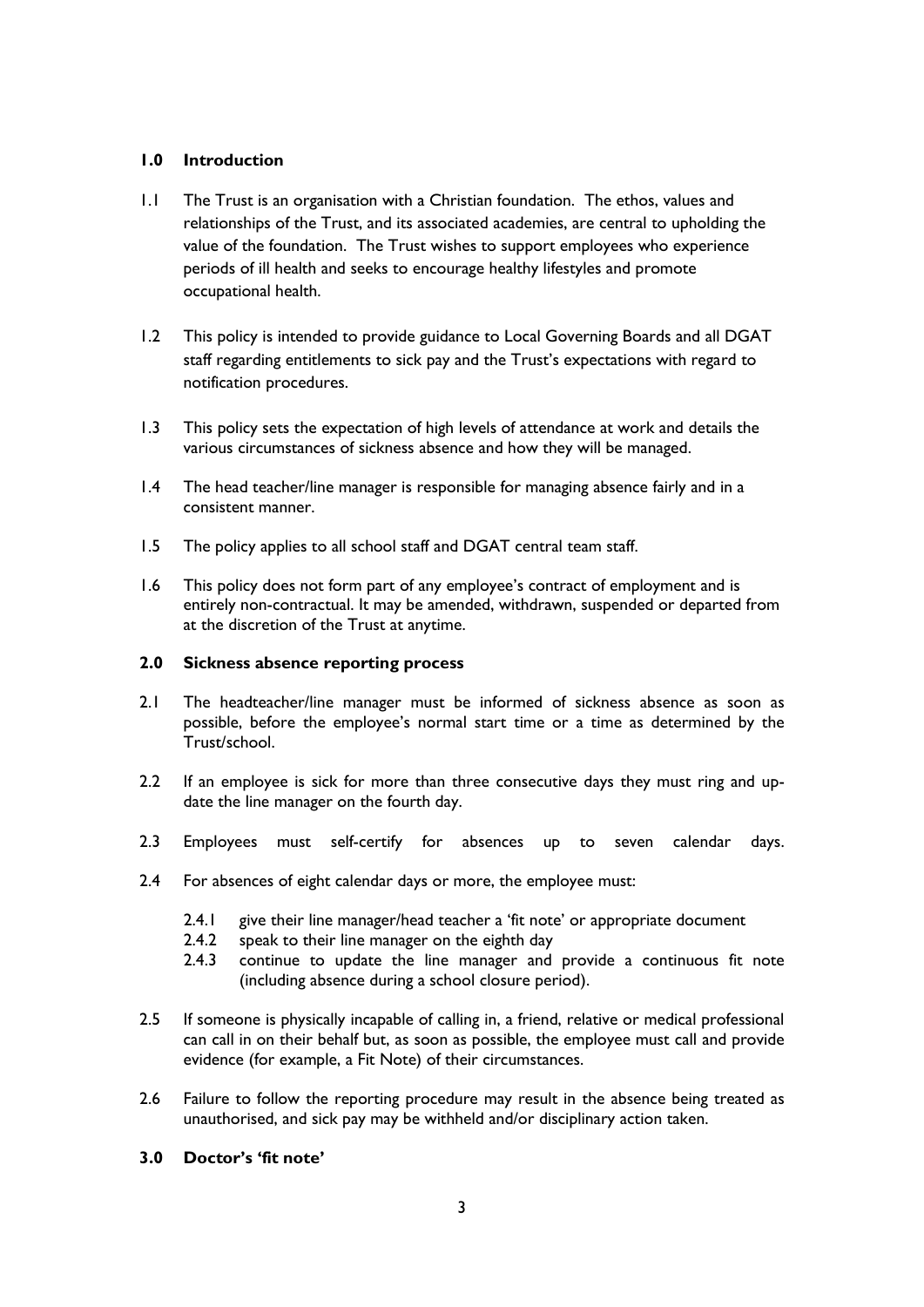### <span id="page-2-0"></span>**1.0 Introduction**

- 1.1 The Trust is an organisation with a Christian foundation. The ethos, values and relationships of the Trust, and its associated academies, are central to upholding the value of the foundation. The Trust wishes to support employees who experience periods of ill health and seeks to encourage healthy lifestyles and promote occupational health.
- 1.2 This policy is intended to provide guidance to Local Governing Boards and all DGAT staff regarding entitlements to sick pay and the Trust's expectations with regard to notification procedures.
- 1.3 This policy sets the expectation of high levels of attendance at work and details the various circumstances of sickness absence and how they will be managed.
- 1.4 The head teacher/line manager is responsible for managing absence fairly and in a consistent manner.
- 1.5 The policy applies to all school staff and DGAT central team staff.
- 1.6 This policy does not form part of any employee's contract of employment and is entirely non-contractual. It may be amended, withdrawn, suspended or departed from at the discretion of the Trust at anytime.

#### <span id="page-2-1"></span>**2.0 Sickness absence reporting process**

- 2.1 The headteacher/line manager must be informed of sickness absence as soon as possible, before the employee's normal start time or a time as determined by the Trust/school.
- 2.2 If an employee is sick for more than three consecutive days they must ring and update the line manager on the fourth day.
- 2.3 Employees must self-certify for absences up to seven calendar days.
- 2.4 For absences of eight calendar days or more, the employee must:
	- 2.4.1 give their line manager/head teacher a 'fit note' or appropriate document
	- 2.4.2 speak to their line manager on the eighth day
	- 2.4.3 continue to update the line manager and provide a continuous fit note (including absence during a school closure period).
- 2.5 If someone is physically incapable of calling in, a friend, relative or medical professional can call in on their behalf but, as soon as possible, the employee must call and provide evidence (for example, a Fit Note) of their circumstances.
- 2.6 Failure to follow the reporting procedure may result in the absence being treated as unauthorised, and sick pay may be withheld and/or disciplinary action taken.

# <span id="page-2-2"></span>**3.0 Doctor's 'fit note'**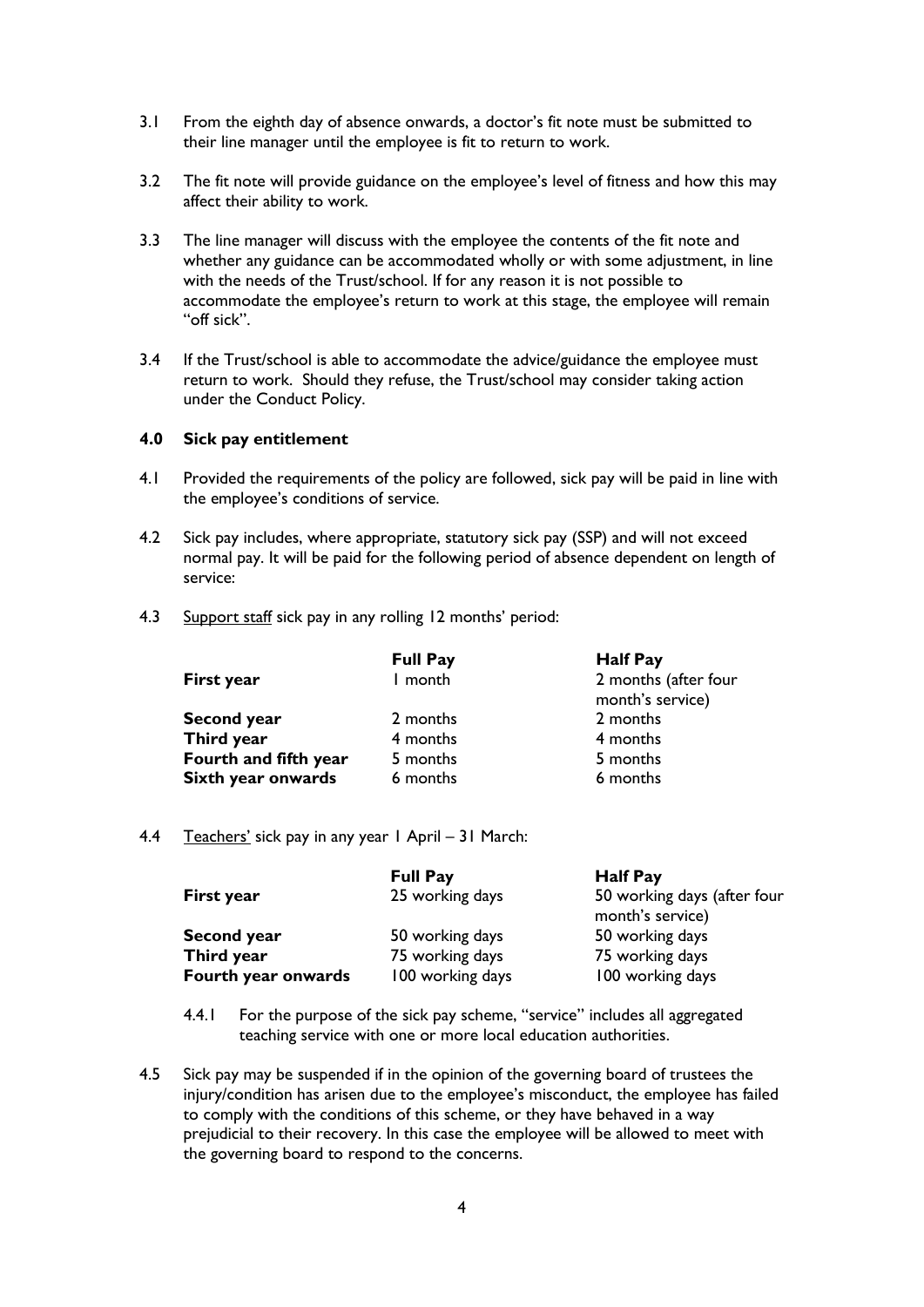- 3.1 From the eighth day of absence onwards, a doctor's fit note must be submitted to their line manager until the employee is fit to return to work.
- 3.2 The fit note will provide guidance on the employee's level of fitness and how this may affect their ability to work.
- 3.3 The line manager will discuss with the employee the contents of the fit note and whether any guidance can be accommodated wholly or with some adjustment, in line with the needs of the Trust/school. If for any reason it is not possible to accommodate the employee's return to work at this stage, the employee will remain "off sick".
- 3.4 If the Trust/school is able to accommodate the advice/guidance the employee must return to work. Should they refuse, the Trust/school may consider taking action under the Conduct Policy.

#### <span id="page-3-0"></span>**4.0 Sick pay entitlement**

- 4.1 Provided the requirements of the policy are followed, sick pay will be paid in line with the employee's conditions of service.
- 4.2 Sick pay includes, where appropriate, statutory sick pay (SSP) and will not exceed normal pay. It will be paid for the following period of absence dependent on length of service:
- 4.3 Support staff sick pay in any rolling 12 months' period:

|                       | <b>Full Pay</b> | <b>Half Pay</b>                          |
|-----------------------|-----------------|------------------------------------------|
| First year            | I month         | 2 months (after four<br>month's service) |
| <b>Second year</b>    | 2 months        | 2 months                                 |
| Third year            | 4 months        | 4 months                                 |
| Fourth and fifth year | 5 months        | 5 months                                 |
| Sixth year onwards    | 6 months        | 6 months                                 |

4.4 Teachers' sick pay in any year 1 April – 31 March:

| First year                       | <b>Full Pay</b><br>25 working days | <b>Half Pay</b><br>50 working days (after four<br>month's service) |
|----------------------------------|------------------------------------|--------------------------------------------------------------------|
| <b>Second year</b><br>Third year | 50 working days<br>75 working days | 50 working days<br>75 working days                                 |
| Fourth year onwards              | 100 working days                   | 100 working days                                                   |

- 4.4.1 For the purpose of the sick pay scheme, "service" includes all aggregated teaching service with one or more local education authorities.
- 4.5 Sick pay may be suspended if in the opinion of the governing board of trustees the injury/condition has arisen due to the employee's misconduct, the employee has failed to comply with the conditions of this scheme, or they have behaved in a way prejudicial to their recovery. In this case the employee will be allowed to meet with the governing board to respond to the concerns.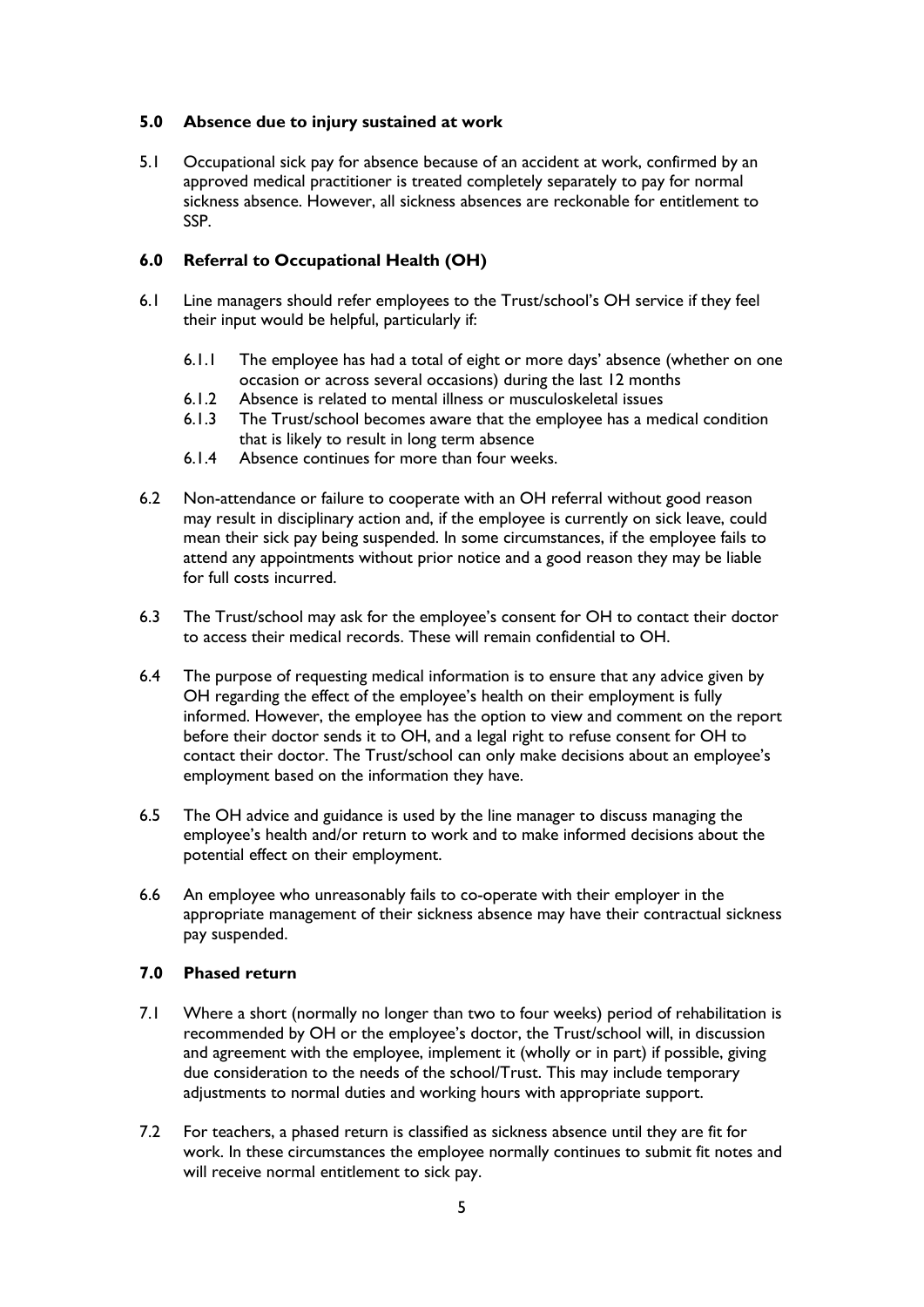# <span id="page-4-0"></span>**5.0 Absence due to injury sustained at work**

5.1 Occupational sick pay for absence because of an accident at work, confirmed by an approved medical practitioner is treated completely separately to pay for normal sickness absence. However, all sickness absences are reckonable for entitlement to SSP.

# <span id="page-4-1"></span>**6.0 Referral to Occupational Health (OH)**

- 6.1 Line managers should refer employees to the Trust/school's OH service if they feel their input would be helpful, particularly if:
	- 6.1.1 The employee has had a total of eight or more days' absence (whether on one occasion or across several occasions) during the last 12 months
	- 6.1.2 Absence is related to mental illness or musculoskeletal issues
	- 6.1.3 The Trust/school becomes aware that the employee has a medical condition that is likely to result in long term absence
	- 6.1.4 Absence continues for more than four weeks.
- 6.2 Non-attendance or failure to cooperate with an OH referral without good reason may result in disciplinary action and, if the employee is currently on sick leave, could mean their sick pay being suspended. In some circumstances, if the employee fails to attend any appointments without prior notice and a good reason they may be liable for full costs incurred.
- 6.3 The Trust/school may ask for the employee's consent for OH to contact their doctor to access their medical records. These will remain confidential to OH.
- 6.4 The purpose of requesting medical information is to ensure that any advice given by OH regarding the effect of the employee's health on their employment is fully informed. However, the employee has the option to view and comment on the report before their doctor sends it to OH, and a legal right to refuse consent for OH to contact their doctor. The Trust/school can only make decisions about an employee's employment based on the information they have.
- 6.5 The OH advice and guidance is used by the line manager to discuss managing the employee's health and/or return to work and to make informed decisions about the potential effect on their employment.
- 6.6 An employee who unreasonably fails to co-operate with their employer in the appropriate management of their sickness absence may have their contractual sickness pay suspended.

#### <span id="page-4-2"></span>**7.0 Phased return**

- 7.1 Where a short (normally no longer than two to four weeks) period of rehabilitation is recommended by OH or the employee's doctor, the Trust/school will, in discussion and agreement with the employee, implement it (wholly or in part) if possible, giving due consideration to the needs of the school/Trust. This may include temporary adjustments to normal duties and working hours with appropriate support.
- 7.2 For teachers, a phased return is classified as sickness absence until they are fit for work. In these circumstances the employee normally continues to submit fit notes and will receive normal entitlement to sick pay.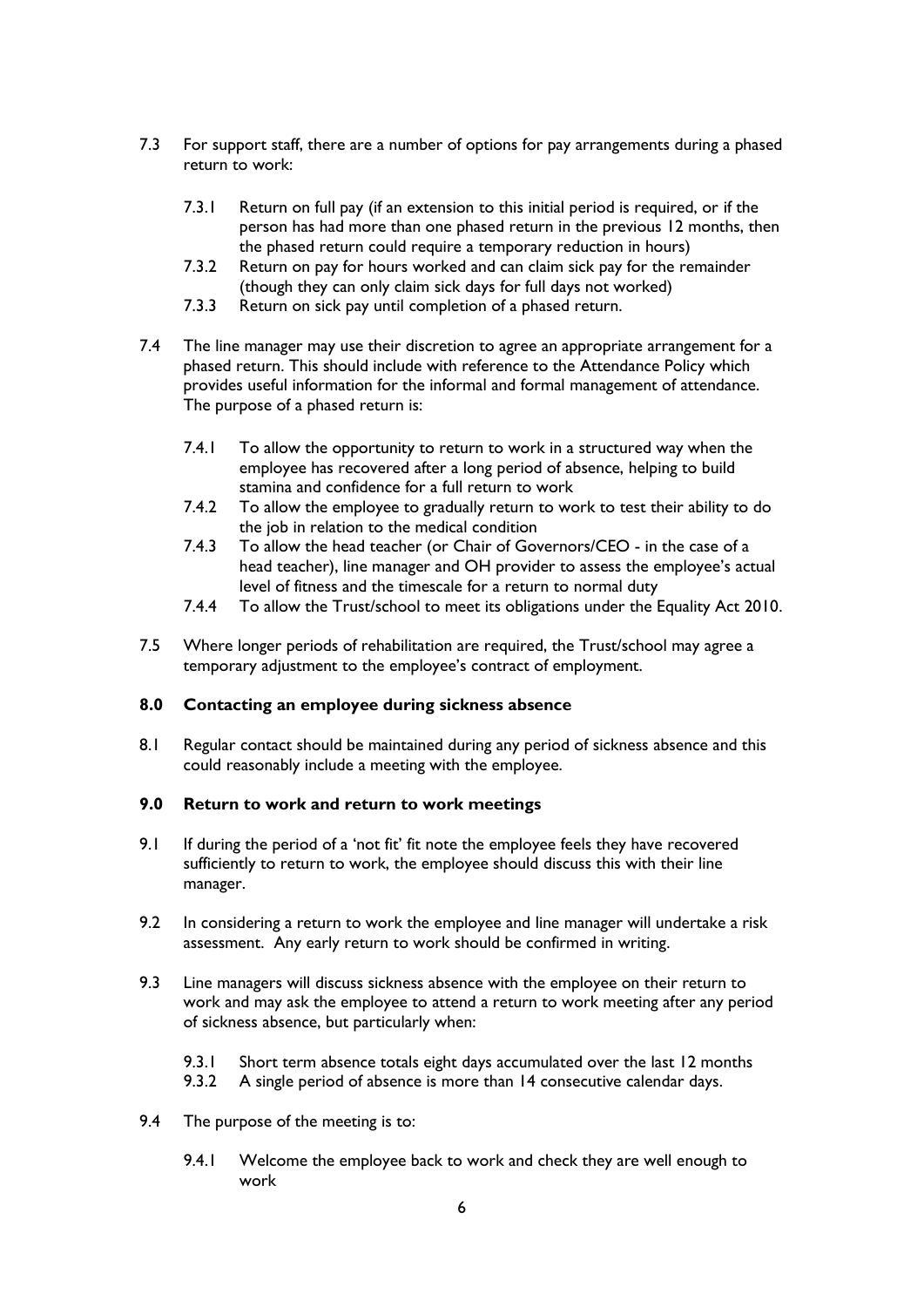- 7.3 For support staff, there are a number of options for pay arrangements during a phased return to work:
	- 7.3.1 Return on full pay (if an extension to this initial period is required, or if the person has had more than one phased return in the previous 12 months, then the phased return could require a temporary reduction in hours)
	- 7.3.2 Return on pay for hours worked and can claim sick pay for the remainder (though they can only claim sick days for full days not worked)
	- 7.3.3 Return on sick pay until completion of a phased return.
- 7.4 The line manager may use their discretion to agree an appropriate arrangement for a phased return. This should include with reference to the Attendance Policy which provides useful information for the informal and formal management of attendance. The purpose of a phased return is:
	- 7.4.1 To allow the opportunity to return to work in a structured way when the employee has recovered after a long period of absence, helping to build stamina and confidence for a full return to work
	- 7.4.2 To allow the employee to gradually return to work to test their ability to do the job in relation to the medical condition
	- 7.4.3 To allow the head teacher (or Chair of Governors/CEO in the case of a head teacher), line manager and OH provider to assess the employee's actual level of fitness and the timescale for a return to normal duty
	- 7.4.4 To allow the Trust/school to meet its obligations under the Equality Act 2010.
- 7.5 Where longer periods of rehabilitation are required, the Trust/school may agree a temporary adjustment to the employee's contract of employment.

# <span id="page-5-0"></span>**8.0 Contacting an employee during sickness absence**

8.1 Regular contact should be maintained during any period of sickness absence and this could reasonably include a meeting with the employee.

#### <span id="page-5-1"></span>**9.0 Return to work and return to work meetings**

- 9.1 If during the period of a 'not fit' fit note the employee feels they have recovered sufficiently to return to work, the employee should discuss this with their line manager.
- 9.2 In considering a return to work the employee and line manager will undertake a risk assessment. Any early return to work should be confirmed in writing.
- 9.3 Line managers will discuss sickness absence with the employee on their return to work and may ask the employee to attend a return to work meeting after any period of sickness absence, but particularly when:
	- 9.3.1 Short term absence totals eight days accumulated over the last 12 months
	- 9.3.2 A single period of absence is more than 14 consecutive calendar days.
- 9.4 The purpose of the meeting is to:
	- 9.4.1 Welcome the employee back to work and check they are well enough to work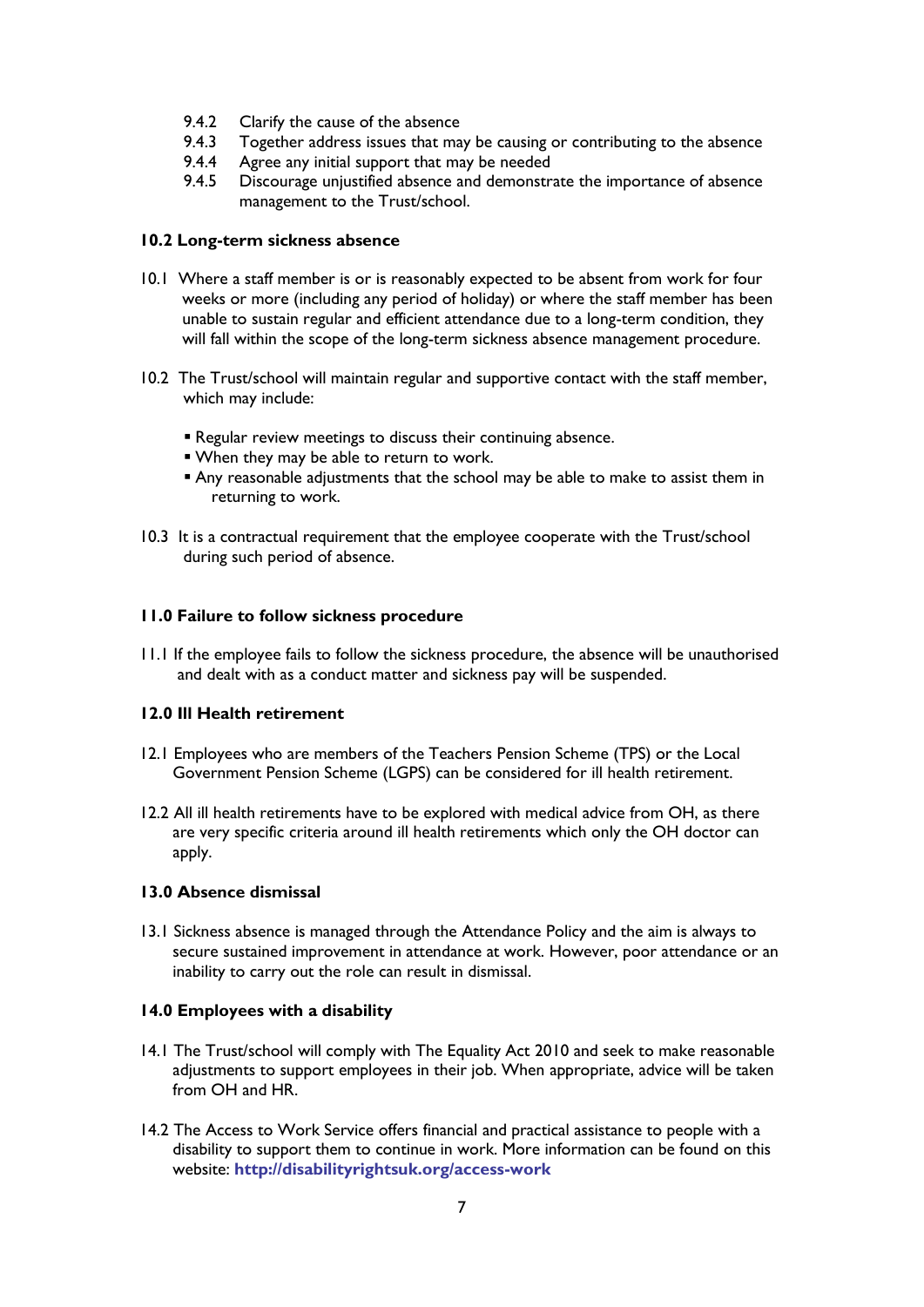- 9.4.2 Clarify the cause of the absence
- 9.4.3 Together address issues that may be causing or contributing to the absence
- 9.4.4 Agree any initial support that may be needed
- 9.4.5 Discourage unjustified absence and demonstrate the importance of absence management to the Trust/school.

# <span id="page-6-0"></span>**10.2 Long-term sickness absence**

- 10.1 Where a staff member is or is reasonably expected to be absent from work for four weeks or more (including any period of holiday) or where the staff member has been unable to sustain regular and efficient attendance due to a long-term condition, they will fall within the scope of the long-term sickness absence management procedure.
- 10.2 The Trust/school will maintain regular and supportive contact with the staff member, which may include:
	- **E** Regular review meetings to discuss their continuing absence.
	- When they may be able to return to work.
	- **Any reasonable adjustments that the school may be able to make to assist them in** returning to work.
- 10.3 It is a contractual requirement that the employee cooperate with the Trust/school during such period of absence.

# <span id="page-6-1"></span>**11.0 Failure to follow sickness procedure**

11.1 If the employee fails to follow the sickness procedure, the absence will be unauthorised and dealt with as a conduct matter and sickness pay will be suspended.

# <span id="page-6-2"></span>**12.0 Ill Health retirement**

- 12.1 Employees who are members of the Teachers Pension Scheme (TPS) or the Local Government Pension Scheme (LGPS) can be considered for ill health retirement.
- 12.2 All ill health retirements have to be explored with medical advice from OH, as there are very specific criteria around ill health retirements which only the OH doctor can apply.

# <span id="page-6-3"></span>**13.0 Absence dismissal**

13.1 Sickness absence is managed through the Attendance Policy and the aim is always to secure sustained improvement in attendance at work. However, poor attendance or an inability to carry out the role can result in dismissal.

# <span id="page-6-4"></span>**14.0 Employees with a disability**

- 14.1 The Trust/school will comply with The Equality Act 2010 and seek to make reasonable adjustments to support employees in their job. When appropriate, advice will be taken from OH and HR.
- 14.2 The Access to Work Service offers financial and practical assistance to people with a disability to support them to continue in work. More information can be found on this website: **<http://disabilityrightsuk.org/access-work>**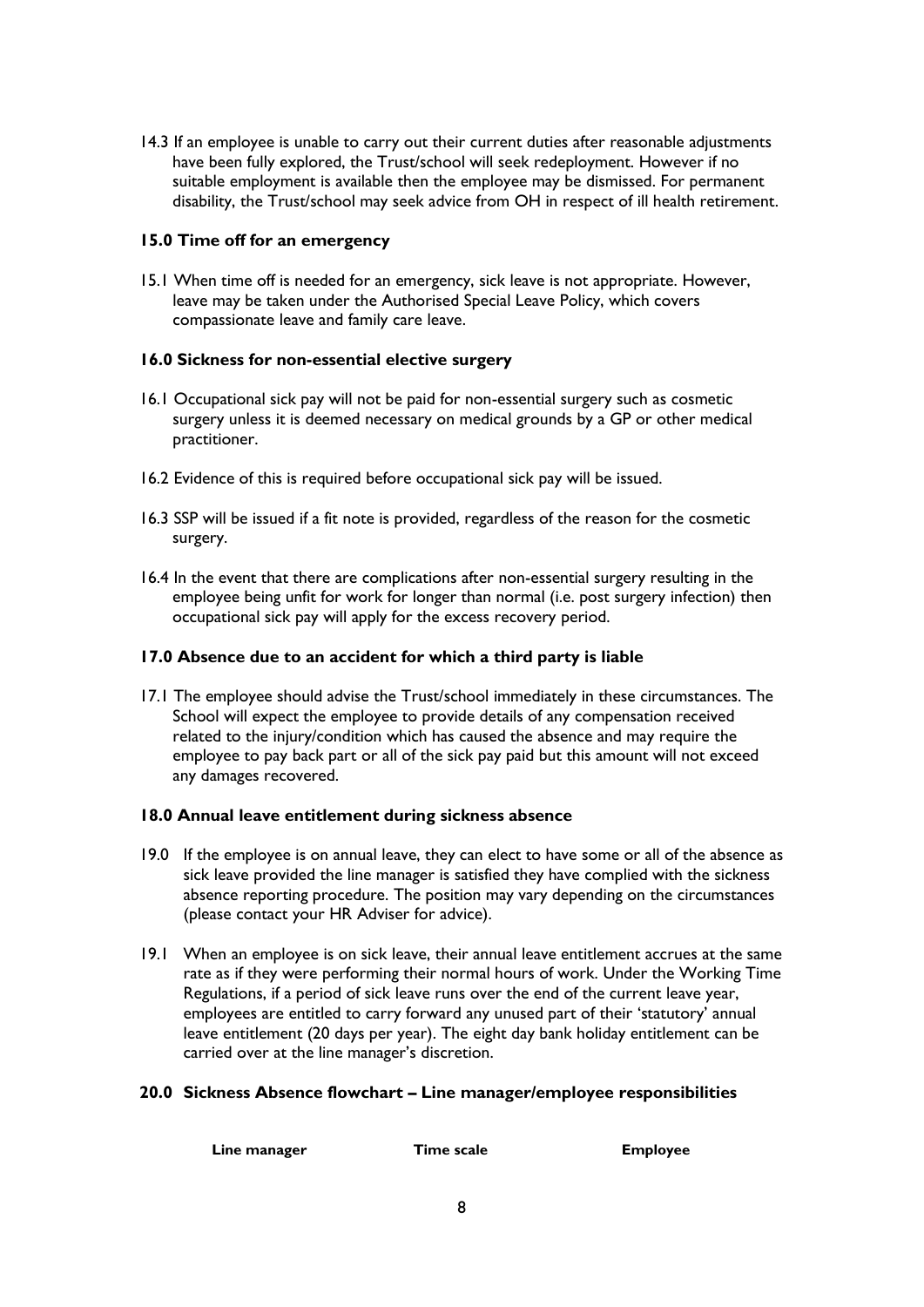14.3 If an employee is unable to carry out their current duties after reasonable adjustments have been fully explored, the Trust/school will seek redeployment. However if no suitable employment is available then the employee may be dismissed. For permanent disability, the Trust/school may seek advice from OH in respect of ill health retirement.

### <span id="page-7-0"></span>**15.0 Time off for an emergency**

15.1 When time off is needed for an emergency, sick leave is not appropriate. However, leave may be taken under the Authorised Special Leave Policy, which covers compassionate leave and family care leave.

# <span id="page-7-1"></span>**16.0 Sickness for non-essential elective surgery**

- 16.1 Occupational sick pay will not be paid for non-essential surgery such as cosmetic surgery unless it is deemed necessary on medical grounds by a GP or other medical practitioner.
- 16.2 Evidence of this is required before occupational sick pay will be issued.
- 16.3 SSP will be issued if a fit note is provided, regardless of the reason for the cosmetic surgery.
- 16.4 In the event that there are complications after non-essential surgery resulting in the employee being unfit for work for longer than normal (i.e. post surgery infection) then occupational sick pay will apply for the excess recovery period.

### <span id="page-7-2"></span>**17.0 Absence due to an accident for which a third party is liable**

17.1 The employee should advise the Trust/school immediately in these circumstances. The School will expect the employee to provide details of any compensation received related to the injury/condition which has caused the absence and may require the employee to pay back part or all of the sick pay paid but this amount will not exceed any damages recovered.

#### <span id="page-7-3"></span>**18.0 Annual leave entitlement during sickness absence**

- 19.0 If the employee is on annual leave, they can elect to have some or all of the absence as sick leave provided the line manager is satisfied they have complied with the sickness absence reporting procedure. The position may vary depending on the circumstances (please contact your HR Adviser for advice).
- 19.1 When an employee is on sick leave, their annual leave entitlement accrues at the same rate as if they were performing their normal hours of work. Under the Working Time Regulations, if a period of sick leave runs over the end of the current leave year, employees are entitled to carry forward any unused part of their 'statutory' annual leave entitlement (20 days per year). The eight day bank holiday entitlement can be carried over at the line manager's discretion.

#### <span id="page-7-4"></span>**20.0 Sickness Absence flowchart – Line manager/employee responsibilities**

| Line manager | Time scale | <b>Employee</b> |
|--------------|------------|-----------------|
|              |            |                 |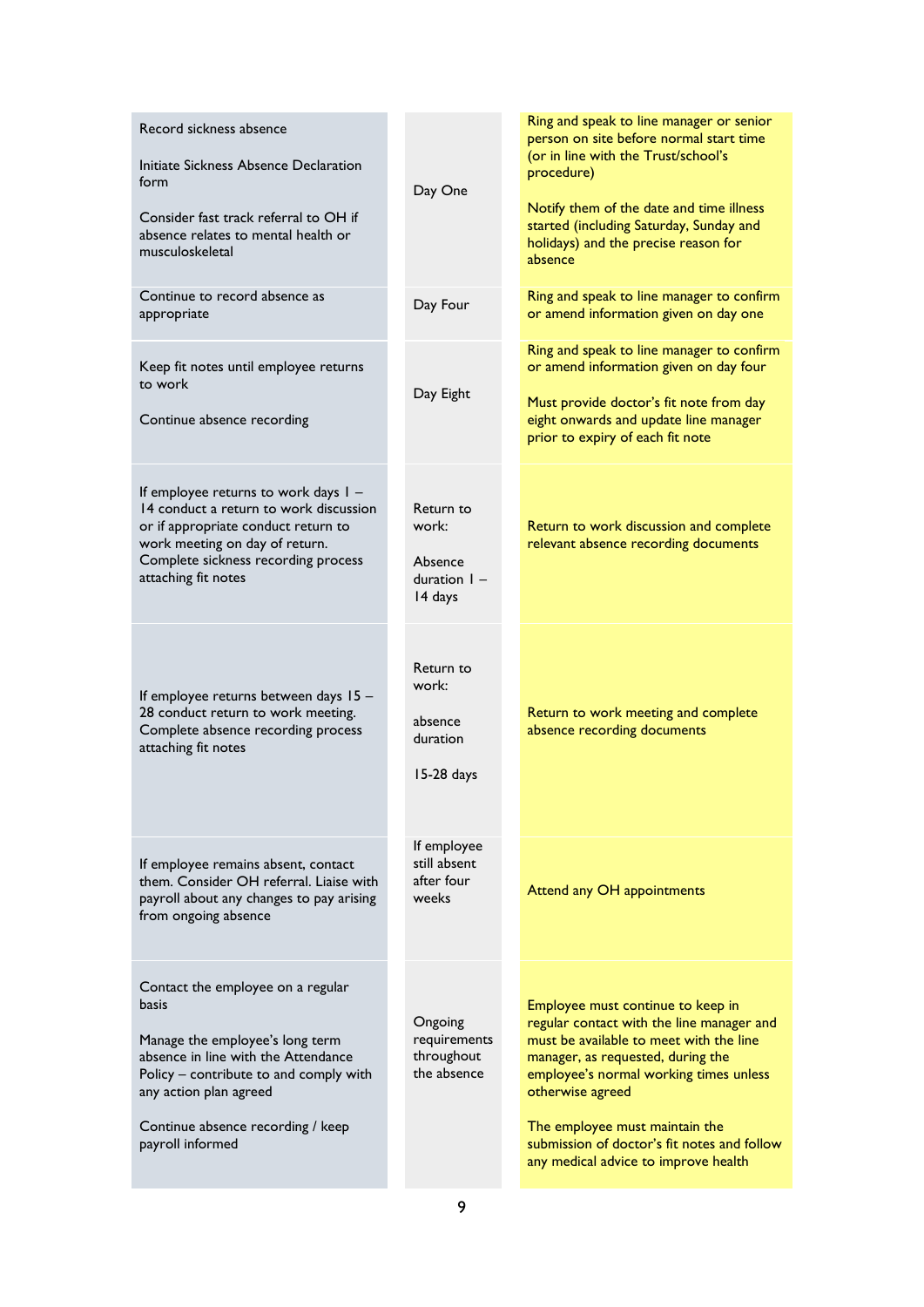| Record sickness absence<br>Initiate Sickness Absence Declaration<br>form<br>Consider fast track referral to OH if<br>absence relates to mental health or<br>musculoskeletal                                                                       | Day One                                                    | Ring and speak to line manager or senior<br>person on site before normal start time<br>(or in line with the Trust/school's<br>procedure)<br>Notify them of the date and time illness<br>started (including Saturday, Sunday and<br>holidays) and the precise reason for<br>absence                                                                    |
|---------------------------------------------------------------------------------------------------------------------------------------------------------------------------------------------------------------------------------------------------|------------------------------------------------------------|-------------------------------------------------------------------------------------------------------------------------------------------------------------------------------------------------------------------------------------------------------------------------------------------------------------------------------------------------------|
| Continue to record absence as<br>appropriate                                                                                                                                                                                                      | Day Four                                                   | Ring and speak to line manager to confirm<br>or amend information given on day one                                                                                                                                                                                                                                                                    |
| Keep fit notes until employee returns<br>to work<br>Continue absence recording                                                                                                                                                                    | Day Eight                                                  | Ring and speak to line manager to confirm<br>or amend information given on day four<br>Must provide doctor's fit note from day<br>eight onwards and update line manager<br>prior to expiry of each fit note                                                                                                                                           |
| If employee returns to work days I -<br>14 conduct a return to work discussion<br>or if appropriate conduct return to<br>work meeting on day of return.<br>Complete sickness recording process<br>attaching fit notes                             | Return to<br>work:<br>Absence<br>duration $I -$<br>14 days | Return to work discussion and complete<br>relevant absence recording documents                                                                                                                                                                                                                                                                        |
| If employee returns between days 15 -<br>28 conduct return to work meeting.<br>Complete absence recording process<br>attaching fit notes                                                                                                          | Return to<br>work:<br>absence<br>duration<br>15-28 days    | Return to work meeting and complete<br>absence recording documents                                                                                                                                                                                                                                                                                    |
| If employee remains absent, contact<br>them. Consider OH referral. Liaise with<br>payroll about any changes to pay arising<br>from ongoing absence                                                                                                | If employee<br>still absent<br>after four<br>weeks         | Attend any OH appointments                                                                                                                                                                                                                                                                                                                            |
| Contact the employee on a regular<br>basis<br>Manage the employee's long term<br>absence in line with the Attendance<br>Policy – contribute to and comply with<br>any action plan agreed<br>Continue absence recording / keep<br>payroll informed | Ongoing<br>requirements<br>throughout<br>the absence       | Employee must continue to keep in<br>regular contact with the line manager and<br>must be available to meet with the line<br>manager, as requested, during the<br>employee's normal working times unless<br>otherwise agreed<br>The employee must maintain the<br>submission of doctor's fit notes and follow<br>any medical advice to improve health |